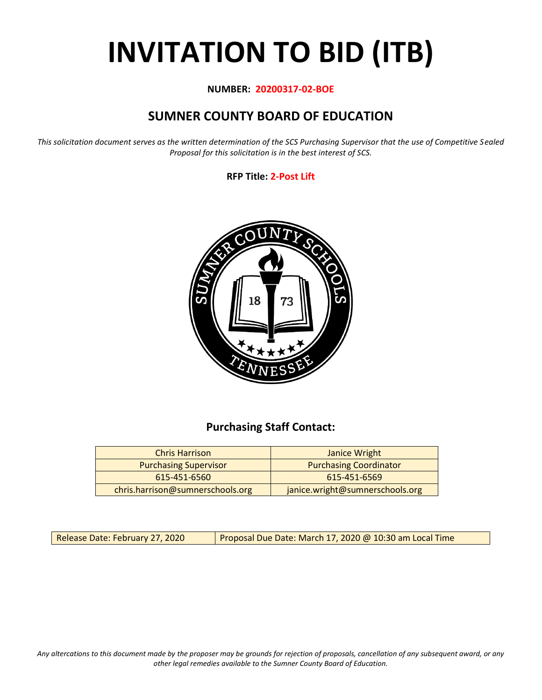# **INVITATION TO BID (ITB)**

#### **NUMBER: 20200317-02-BOE**

## **SUMNER COUNTY BOARD OF EDUCATION**

*This solicitation document serves as the written determination of the SCS Purchasing Supervisor that the use of Competitive Sealed Proposal for this solicitation is in the best interest of SCS.*

#### **RFP Title: 2-Post Lift**



## **Purchasing Staff Contact:**

| <b>Chris Harrison</b>            | Janice Wright                   |
|----------------------------------|---------------------------------|
| <b>Purchasing Supervisor</b>     | <b>Purchasing Coordinator</b>   |
| 615-451-6560                     | 615-451-6569                    |
| chris.harrison@sumnerschools.org | janice.wright@sumnerschools.org |

Release Date: February 27, 2020 | Proposal Due Date: March 17, 2020 @ 10:30 am Local Time

*Any altercations to this document made by the proposer may be grounds for rejection of proposals, cancellation of any subsequent award, or any other legal remedies available to the Sumner County Board of Education.*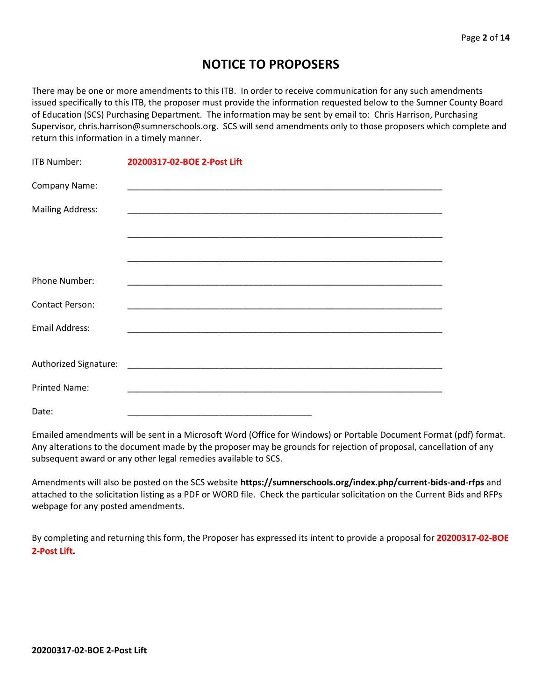## **NOTICE TO PROPOSERS**

There may be one or more amendments to this ITB. In order to receive communication for any such amendments issued specifically to this ITB, the proposer must provide the information requested below to the Sumner County Board of Education (SCS) Purchasing Department. The information may be sent by email to: Chris Harrison, Purchasing Supervisor, chris.harrison@sumnerschools.org. SCS will send amendments only to those proposers which complete and return this information in a timely manner.

| <b>ITB Number:</b>      | 20200317-02-BOE 2-Post Lift |
|-------------------------|-----------------------------|
| Company Name:           |                             |
| <b>Mailing Address:</b> |                             |
|                         |                             |
|                         |                             |
| Phone Number:           |                             |
| <b>Contact Person:</b>  |                             |
| Email Address:          |                             |
|                         |                             |
|                         |                             |
| <b>Printed Name:</b>    |                             |
| Date:                   |                             |

Emailed amendments will be sent in a Microsoft Word (Office for Windows) or Portable Document Format (pdf) format. Any alterations to the document made by the proposer may be grounds for rejection of proposal, cancellation of any subsequent award or any other legal remedies available to SCS.

Amendments will also be posted on the SCS website **https://sumnerschools.org/index.php/current-bids-and-rfps** and attached to the solicitation listing as a PDF or WORD file. Check the particular solicitation on the Current Bids and RFPs webpage for any posted amendments.

By completing and returning this form, the Proposer has expressed its intent to provide a proposal for **20200317-02-BOE 2-Post Lift.**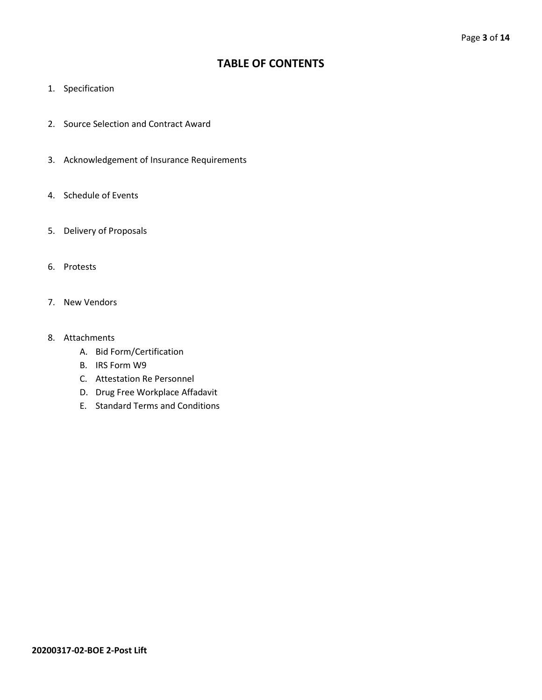## **TABLE OF CONTENTS**

- 1. Specification
- 2. Source Selection and Contract Award
- 3. Acknowledgement of Insurance Requirements
- 4. Schedule of Events
- 5. Delivery of Proposals
- 6. Protests
- 7. New Vendors
- 8. Attachments
	- A. Bid Form/Certification
	- B. IRS Form W9
	- C. Attestation Re Personnel
	- D. Drug Free Workplace Affadavit
	- E. Standard Terms and Conditions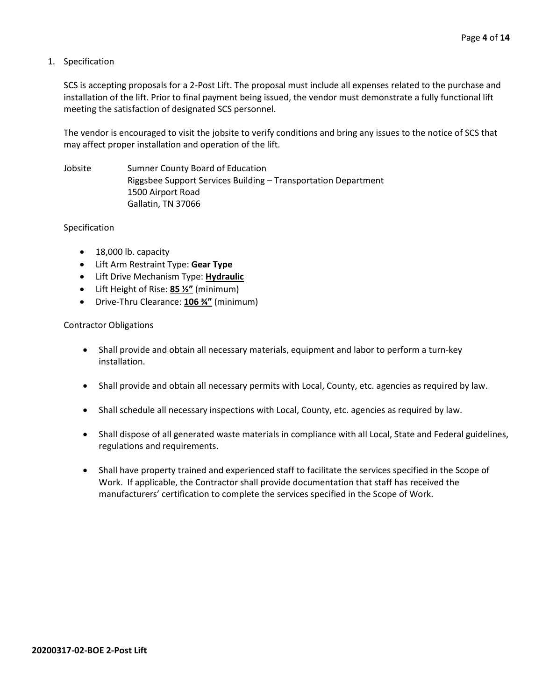#### 1. Specification

SCS is accepting proposals for a 2-Post Lift. The proposal must include all expenses related to the purchase and installation of the lift. Prior to final payment being issued, the vendor must demonstrate a fully functional lift meeting the satisfaction of designated SCS personnel.

The vendor is encouraged to visit the jobsite to verify conditions and bring any issues to the notice of SCS that may affect proper installation and operation of the lift.

Jobsite Sumner County Board of Education Riggsbee Support Services Building – Transportation Department 1500 Airport Road Gallatin, TN 37066

#### Specification

- 18,000 lb. capacity
- Lift Arm Restraint Type: **Gear Type**
- Lift Drive Mechanism Type: **Hydraulic**
- Lift Height of Rise: **85 ½"** (minimum)
- Drive-Thru Clearance: **106 ¾"** (minimum)

#### Contractor Obligations

- Shall provide and obtain all necessary materials, equipment and labor to perform a turn-key installation.
- Shall provide and obtain all necessary permits with Local, County, etc. agencies as required by law.
- Shall schedule all necessary inspections with Local, County, etc. agencies as required by law.
- Shall dispose of all generated waste materials in compliance with all Local, State and Federal guidelines, regulations and requirements.
- Shall have property trained and experienced staff to facilitate the services specified in the Scope of Work. If applicable, the Contractor shall provide documentation that staff has received the manufacturers' certification to complete the services specified in the Scope of Work.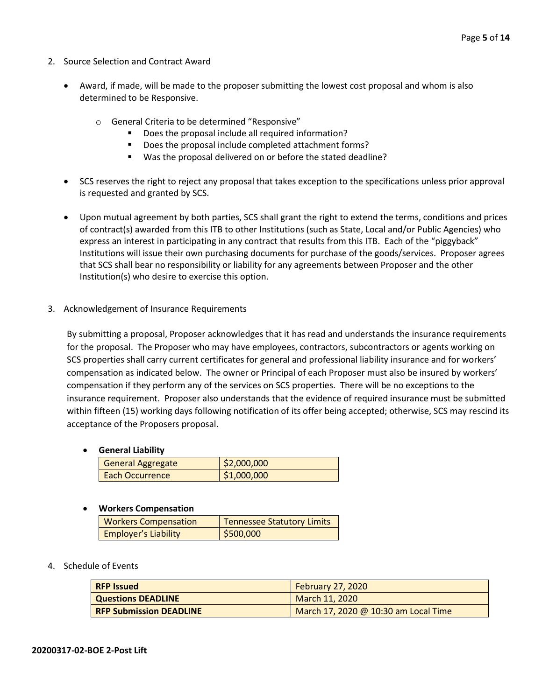- 2. Source Selection and Contract Award
	- Award, if made, will be made to the proposer submitting the lowest cost proposal and whom is also determined to be Responsive.
		- o General Criteria to be determined "Responsive"
			- Does the proposal include all required information?
			- Does the proposal include completed attachment forms?
			- Was the proposal delivered on or before the stated deadline?
	- SCS reserves the right to reject any proposal that takes exception to the specifications unless prior approval is requested and granted by SCS.
	- Upon mutual agreement by both parties, SCS shall grant the right to extend the terms, conditions and prices of contract(s) awarded from this ITB to other Institutions (such as State, Local and/or Public Agencies) who express an interest in participating in any contract that results from this ITB. Each of the "piggyback" Institutions will issue their own purchasing documents for purchase of the goods/services. Proposer agrees that SCS shall bear no responsibility or liability for any agreements between Proposer and the other Institution(s) who desire to exercise this option.
- 3. Acknowledgement of Insurance Requirements

By submitting a proposal, Proposer acknowledges that it has read and understands the insurance requirements for the proposal. The Proposer who may have employees, contractors, subcontractors or agents working on SCS properties shall carry current certificates for general and professional liability insurance and for workers' compensation as indicated below. The owner or Principal of each Proposer must also be insured by workers' compensation if they perform any of the services on SCS properties. There will be no exceptions to the insurance requirement. Proposer also understands that the evidence of required insurance must be submitted within fifteen (15) working days following notification of its offer being accepted; otherwise, SCS may rescind its acceptance of the Proposers proposal.

#### • **General Liability**

| <b>General Aggregate</b> | \$2,000,000 |
|--------------------------|-------------|
| Each Occurrence          | \$1,000,000 |

#### • **Workers Compensation**

| <b>Workers Compensation</b> | <b>Tennessee Statutory Limits</b> |
|-----------------------------|-----------------------------------|
| <b>Employer's Liability</b> | \$500,000                         |

#### 4. Schedule of Events

| <b>RFP Issued</b>              | <b>February 27, 2020</b>             |
|--------------------------------|--------------------------------------|
| <b>Questions DEADLINE</b>      | March 11, 2020                       |
| <b>RFP Submission DEADLINE</b> | March 17, 2020 @ 10:30 am Local Time |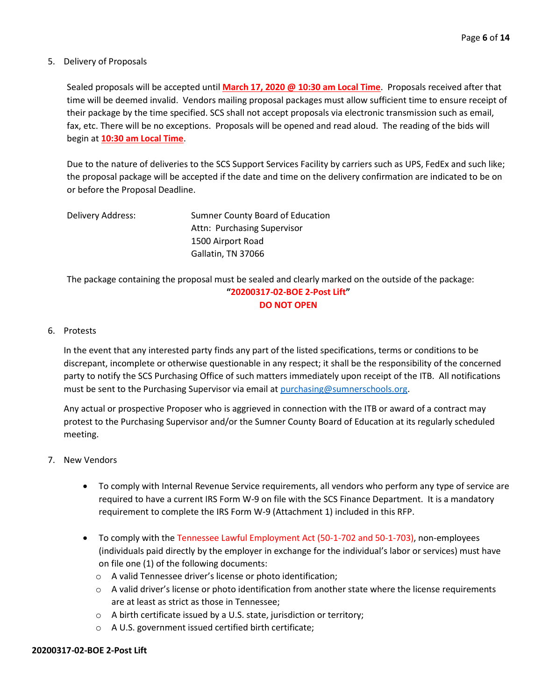#### 5. Delivery of Proposals

Sealed proposals will be accepted until **March 17, 2020 @ 10:30 am Local Time**. Proposals received after that time will be deemed invalid. Vendors mailing proposal packages must allow sufficient time to ensure receipt of their package by the time specified. SCS shall not accept proposals via electronic transmission such as email, fax, etc. There will be no exceptions. Proposals will be opened and read aloud. The reading of the bids will begin at **10:30 am Local Time**.

Due to the nature of deliveries to the SCS Support Services Facility by carriers such as UPS, FedEx and such like; the proposal package will be accepted if the date and time on the delivery confirmation are indicated to be on or before the Proposal Deadline.

| Delivery Address: | Sumner County Board of Education |
|-------------------|----------------------------------|
|                   | Attn: Purchasing Supervisor      |
|                   | 1500 Airport Road                |
|                   | Gallatin, TN 37066               |

The package containing the proposal must be sealed and clearly marked on the outside of the package: **"20200317-02-BOE 2-Post Lift"**

#### **DO NOT OPEN**

#### 6. Protests

In the event that any interested party finds any part of the listed specifications, terms or conditions to be discrepant, incomplete or otherwise questionable in any respect; it shall be the responsibility of the concerned party to notify the SCS Purchasing Office of such matters immediately upon receipt of the ITB. All notifications must be sent to the Purchasing Supervisor via email at [purchasing@sumnerschools.org.](mailto:purchasing@sumnerschools.org)

Any actual or prospective Proposer who is aggrieved in connection with the ITB or award of a contract may protest to the Purchasing Supervisor and/or the Sumner County Board of Education at its regularly scheduled meeting.

#### 7. New Vendors

- To comply with Internal Revenue Service requirements, all vendors who perform any type of service are required to have a current IRS Form W-9 on file with the SCS Finance Department. It is a mandatory requirement to complete the IRS Form W-9 (Attachment 1) included in this RFP.
- To comply with the Tennessee Lawful Employment Act (50-1-702 and 50-1-703), non-employees (individuals paid directly by the employer in exchange for the individual's labor or services) must have on file one (1) of the following documents:
	- o A valid Tennessee driver's license or photo identification;
	- $\circ$  A valid driver's license or photo identification from another state where the license requirements are at least as strict as those in Tennessee;
	- o A birth certificate issued by a U.S. state, jurisdiction or territory;
	- o A U.S. government issued certified birth certificate;

#### **20200317-02-BOE 2-Post Lift**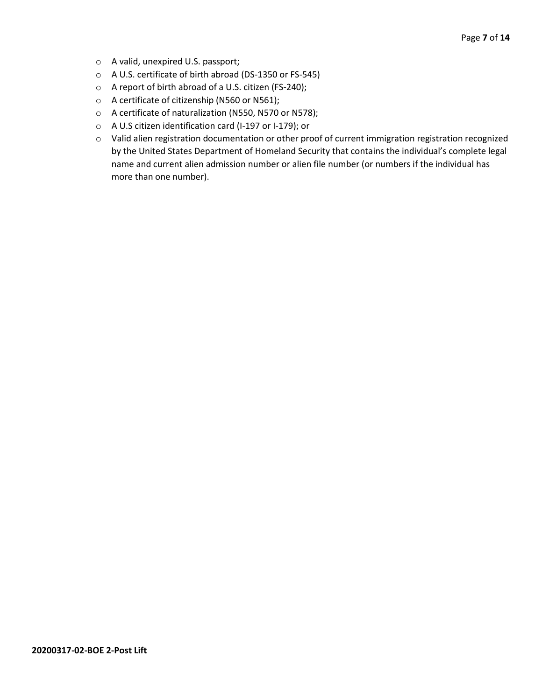- o A valid, unexpired U.S. passport;
- o A U.S. certificate of birth abroad (DS-1350 or FS-545)
- o A report of birth abroad of a U.S. citizen (FS-240);
- o A certificate of citizenship (N560 or N561);
- o A certificate of naturalization (N550, N570 or N578);
- o A U.S citizen identification card (I-197 or I-179); or
- o Valid alien registration documentation or other proof of current immigration registration recognized by the United States Department of Homeland Security that contains the individual's complete legal name and current alien admission number or alien file number (or numbers if the individual has more than one number).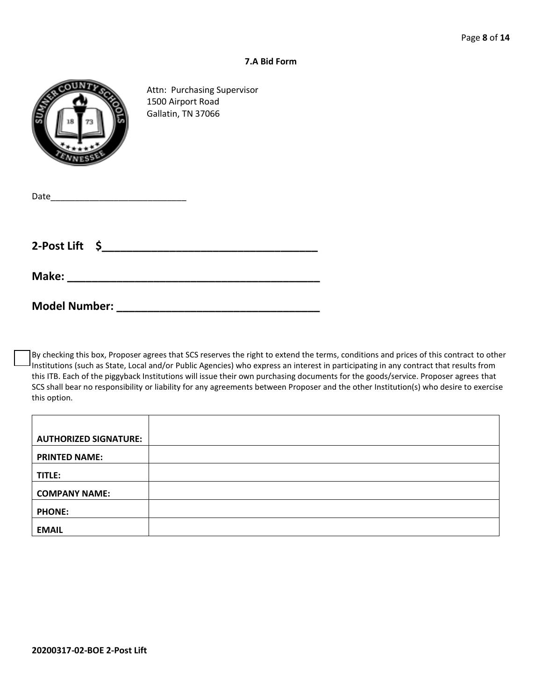#### **7.A Bid Form**



Attn: Purchasing Supervisor 1500 Airport Road Gallatin, TN 37066

| Date |  |  |  |
|------|--|--|--|
|      |  |  |  |

**2-Post Lift \$\_\_\_\_\_\_\_\_\_\_\_\_\_\_\_\_\_\_\_\_\_\_\_\_\_\_\_\_\_\_\_\_\_\_\_**

| Make: |  |  |  |  |
|-------|--|--|--|--|
|       |  |  |  |  |

**Model Number: \_\_\_\_\_\_\_\_\_\_\_\_\_\_\_\_\_\_\_\_\_\_\_\_\_\_\_\_\_\_\_\_\_**

By checking this box, Proposer agrees that SCS reserves the right to extend the terms, conditions and prices of this contract to other Institutions (such as State, Local and/or Public Agencies) who express an interest in participating in any contract that results from this ITB. Each of the piggyback Institutions will issue their own purchasing documents for the goods/service. Proposer agrees that SCS shall bear no responsibility or liability for any agreements between Proposer and the other Institution(s) who desire to exercise this option.

| <b>AUTHORIZED SIGNATURE:</b> |  |
|------------------------------|--|
| <b>PRINTED NAME:</b>         |  |
| TITLE:                       |  |
| <b>COMPANY NAME:</b>         |  |
| <b>PHONE:</b>                |  |
| <b>EMAIL</b>                 |  |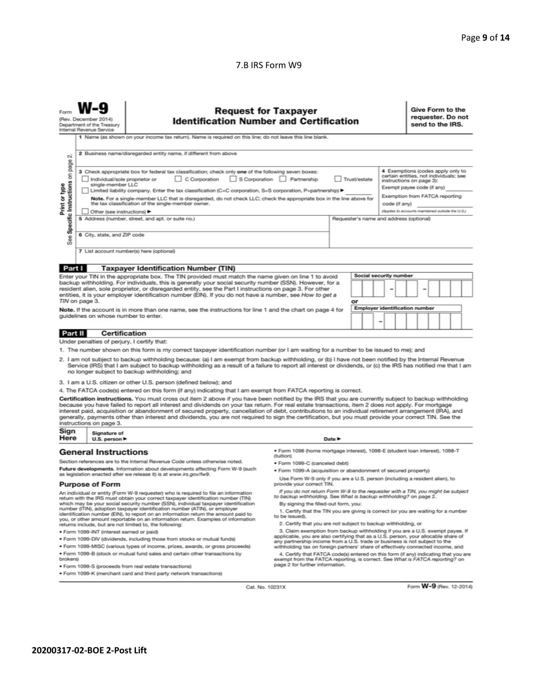#### 7.B IRS Form W9

| N                                                                                                                                                                                                                                                                                                                                                                                                                                                                                                                                                                                                                                                                                                                                                                                                                                                                                                                                                                                                                                           | (Rev. December 2014)<br>Department of the Treasury<br>Internal Revenue Service | <b>Request for Taxpayer</b><br><b>Identification Number and Certification</b><br>1 Name (as shown on your income tax return). Name is required on this line; do not leave this line blank.<br>2 Business name/disregarded entity name, if different from above                                                                                                                                                                                                                                                                                                                                                                                                                                                                                                                                                                                                                                                                                                                                                                                                                                                                                                                                                                                                                                                                      |                                                                                                                                                                                                                                                                                                                                                                                                                  |                            |    |                          |  |                                       | Give Form to the<br>send to the IRS. |  | requester. Do not |
|---------------------------------------------------------------------------------------------------------------------------------------------------------------------------------------------------------------------------------------------------------------------------------------------------------------------------------------------------------------------------------------------------------------------------------------------------------------------------------------------------------------------------------------------------------------------------------------------------------------------------------------------------------------------------------------------------------------------------------------------------------------------------------------------------------------------------------------------------------------------------------------------------------------------------------------------------------------------------------------------------------------------------------------------|--------------------------------------------------------------------------------|-------------------------------------------------------------------------------------------------------------------------------------------------------------------------------------------------------------------------------------------------------------------------------------------------------------------------------------------------------------------------------------------------------------------------------------------------------------------------------------------------------------------------------------------------------------------------------------------------------------------------------------------------------------------------------------------------------------------------------------------------------------------------------------------------------------------------------------------------------------------------------------------------------------------------------------------------------------------------------------------------------------------------------------------------------------------------------------------------------------------------------------------------------------------------------------------------------------------------------------------------------------------------------------------------------------------------------------|------------------------------------------------------------------------------------------------------------------------------------------------------------------------------------------------------------------------------------------------------------------------------------------------------------------------------------------------------------------------------------------------------------------|----------------------------|----|--------------------------|--|---------------------------------------|--------------------------------------|--|-------------------|
| page<br>4 Exemptions (codes apply only to<br>3 Check appropriate box for federal tax classification; check only one of the following seven boxes:<br>Specific Instructions on<br>certain entities, not individuals; see<br>C Corporation<br>S Corporation Partnership<br>Individual/sole proprietor or<br>Trust/estate<br>instructions on page 3):<br>Print or type<br>single-member LLC<br>Exempt payee code (if any)<br>Limited liability company. Enter the tax classification (C=C corporation, S=S corporation, P=partnership) ▶<br>Exemption from FATCA reporting<br>Note. For a single-member LLC that is disregarded, do not check LLC; check the appropriate box in the line above for<br>the tax classification of the single-member owner.<br>code (if any)<br>(Applies to accounts maintained outside the U.S.)<br>Other (see instructions) ▶<br>5 Address (number, street, and apt. or suite no.)<br>Requester's name and address (optional)<br>6 City, state, and ZIP code<br>See<br>7 List account number(s) here (optional) |                                                                                |                                                                                                                                                                                                                                                                                                                                                                                                                                                                                                                                                                                                                                                                                                                                                                                                                                                                                                                                                                                                                                                                                                                                                                                                                                                                                                                                     |                                                                                                                                                                                                                                                                                                                                                                                                                  |                            |    |                          |  |                                       |                                      |  |                   |
| Part I                                                                                                                                                                                                                                                                                                                                                                                                                                                                                                                                                                                                                                                                                                                                                                                                                                                                                                                                                                                                                                      |                                                                                | <b>Taxpayer Identification Number (TIN)</b>                                                                                                                                                                                                                                                                                                                                                                                                                                                                                                                                                                                                                                                                                                                                                                                                                                                                                                                                                                                                                                                                                                                                                                                                                                                                                         |                                                                                                                                                                                                                                                                                                                                                                                                                  |                            |    |                          |  |                                       |                                      |  |                   |
|                                                                                                                                                                                                                                                                                                                                                                                                                                                                                                                                                                                                                                                                                                                                                                                                                                                                                                                                                                                                                                             |                                                                                | Enter your TIN in the appropriate box. The TIN provided must match the name given on line 1 to avoid                                                                                                                                                                                                                                                                                                                                                                                                                                                                                                                                                                                                                                                                                                                                                                                                                                                                                                                                                                                                                                                                                                                                                                                                                                |                                                                                                                                                                                                                                                                                                                                                                                                                  |                            |    | Social security number   |  |                                       |                                      |  |                   |
|                                                                                                                                                                                                                                                                                                                                                                                                                                                                                                                                                                                                                                                                                                                                                                                                                                                                                                                                                                                                                                             | TIN on page 3.                                                                 | backup withholding. For individuals, this is generally your social security number (SSN). However, for a<br>resident alien, sole proprietor, or disregarded entity, see the Part I instructions on page 3. For other<br>entities, it is your employer identification number (EIN). If you do not have a number, see How to get a                                                                                                                                                                                                                                                                                                                                                                                                                                                                                                                                                                                                                                                                                                                                                                                                                                                                                                                                                                                                    |                                                                                                                                                                                                                                                                                                                                                                                                                  |                            | or |                          |  |                                       |                                      |  |                   |
|                                                                                                                                                                                                                                                                                                                                                                                                                                                                                                                                                                                                                                                                                                                                                                                                                                                                                                                                                                                                                                             | guidelines on whose number to enter.                                           | Note. If the account is in more than one name, see the instructions for line 1 and the chart on page 4 for                                                                                                                                                                                                                                                                                                                                                                                                                                                                                                                                                                                                                                                                                                                                                                                                                                                                                                                                                                                                                                                                                                                                                                                                                          |                                                                                                                                                                                                                                                                                                                                                                                                                  |                            |    | $\overline{\phantom{0}}$ |  | <b>Employer identification number</b> |                                      |  |                   |
| <b>Part II</b>                                                                                                                                                                                                                                                                                                                                                                                                                                                                                                                                                                                                                                                                                                                                                                                                                                                                                                                                                                                                                              |                                                                                | <b>Certification</b>                                                                                                                                                                                                                                                                                                                                                                                                                                                                                                                                                                                                                                                                                                                                                                                                                                                                                                                                                                                                                                                                                                                                                                                                                                                                                                                |                                                                                                                                                                                                                                                                                                                                                                                                                  |                            |    |                          |  |                                       |                                      |  |                   |
|                                                                                                                                                                                                                                                                                                                                                                                                                                                                                                                                                                                                                                                                                                                                                                                                                                                                                                                                                                                                                                             | Under penalties of perjury, I certify that:<br>instructions on page 3.         | 1. The number shown on this form is my correct taxpayer identification number (or I am waiting for a number to be issued to me); and<br>2. I am not subject to backup withholding because: (a) I am exempt from backup withholding, or (b) I have not been notified by the Internal Revenue<br>Service (IRS) that I am subject to backup withholding as a result of a failure to report all interest or dividends, or (c) the IRS has notified me that I am<br>no longer subject to backup withholding; and<br>3. I am a U.S. citizen or other U.S. person (defined below); and<br>4. The FATCA code(s) entered on this form (if any) indicating that I am exempt from FATCA reporting is correct.<br>Certification instructions. You must cross out item 2 above if you have been notified by the IRS that you are currently subject to backup withholding<br>because you have failed to report all interest and dividends on your tax return. For real estate transactions, item 2 does not apply. For mortgage<br>interest paid, acquisition or abandonment of secured property, cancellation of debt, contributions to an individual retirement arrangement (IRA), and<br>generally, payments other than interest and dividends, you are not required to sign the certification, but you must provide your correct TIN. See the |                                                                                                                                                                                                                                                                                                                                                                                                                  |                            |    |                          |  |                                       |                                      |  |                   |
| Sign                                                                                                                                                                                                                                                                                                                                                                                                                                                                                                                                                                                                                                                                                                                                                                                                                                                                                                                                                                                                                                        | Signature of                                                                   |                                                                                                                                                                                                                                                                                                                                                                                                                                                                                                                                                                                                                                                                                                                                                                                                                                                                                                                                                                                                                                                                                                                                                                                                                                                                                                                                     |                                                                                                                                                                                                                                                                                                                                                                                                                  |                            |    |                          |  |                                       |                                      |  |                   |
| Here                                                                                                                                                                                                                                                                                                                                                                                                                                                                                                                                                                                                                                                                                                                                                                                                                                                                                                                                                                                                                                        | U.S. person $\blacktriangleright$<br><b>General Instructions</b>               | Section references are to the Internal Revenue Code unless otherwise noted.<br>Future developments. Information about developments affecting Form W-9 (such                                                                                                                                                                                                                                                                                                                                                                                                                                                                                                                                                                                                                                                                                                                                                                                                                                                                                                                                                                                                                                                                                                                                                                         | · Form 1098 (home mortgage interest), 1098-E (student loan interest), 1098-T<br>(tuition)<br>· Form 1099-C (canceled debt)                                                                                                                                                                                                                                                                                       | Date $\blacktriangleright$ |    |                          |  |                                       |                                      |  |                   |
|                                                                                                                                                                                                                                                                                                                                                                                                                                                                                                                                                                                                                                                                                                                                                                                                                                                                                                                                                                                                                                             |                                                                                | as legislation enacted after we release it) is at www.irs.gov/fw9.                                                                                                                                                                                                                                                                                                                                                                                                                                                                                                                                                                                                                                                                                                                                                                                                                                                                                                                                                                                                                                                                                                                                                                                                                                                                  | . Form 1099-A (acquisition or abandonment of secured property)                                                                                                                                                                                                                                                                                                                                                   |                            |    |                          |  |                                       |                                      |  |                   |
| <b>Purpose of Form</b><br>An individual or entity (Form W-9 requester) who is required to file an information<br>return with the IRS must obtain your correct taxpayer identification number (TIN)<br>which may be your social security number (SSN), individual taxpayer identification<br>number (ITIN), adoption taxpayer identification number (ATIN), or employer<br>identification number (EIN), to report on an information return the amount paid to                                                                                                                                                                                                                                                                                                                                                                                                                                                                                                                                                                                |                                                                                |                                                                                                                                                                                                                                                                                                                                                                                                                                                                                                                                                                                                                                                                                                                                                                                                                                                                                                                                                                                                                                                                                                                                                                                                                                                                                                                                     | Use Form W-9 only if you are a U.S. person (including a resident alien), to<br>provide your correct TIN.<br>If you do not return Form W-9 to the requester with a TIN, you might be subject<br>to backup withholding. See What is backup withholding? on page 2.<br>By signing the filled-out form, you:<br>1. Certify that the TIN you are giving is correct (or you are waiting for a number<br>to be issued). |                            |    |                          |  |                                       |                                      |  |                   |
|                                                                                                                                                                                                                                                                                                                                                                                                                                                                                                                                                                                                                                                                                                                                                                                                                                                                                                                                                                                                                                             | · Form 1099-INT (interest earned or paid)                                      | you, or other amount reportable on an information return. Examples of information<br>returns include, but are not limited to, the following:<br>. Form 1099-DIV (dividends, including those from stocks or mutual funds)<br>. Form 1099-MISC (various types of income, prizes, awards, or gross proceeds)                                                                                                                                                                                                                                                                                                                                                                                                                                                                                                                                                                                                                                                                                                                                                                                                                                                                                                                                                                                                                           | 2. Certify that you are not subject to backup withholding, or<br>3. Claim exemption from backup withholding if you are a U.S. exempt payee. If<br>applicable, you are also certifying that as a U.S. person, your allocable share of<br>any partnership income from a U.S. trade or business is not subject to the<br>withholding tax on foreign partners' share of effectively connected income, and            |                            |    |                          |  |                                       |                                      |  |                   |
| . Form 1099-B (stock or mutual fund sales and certain other transactions by<br>4. Certify that FATCA code(s) entered on this form (if any) indicating that you are<br>brokers)<br>exempt from the FATCA reporting, is correct. See What is FATCA reporting? on<br>page 2 for further information.<br>· Form 1099-S (proceeds from real estate transactions)                                                                                                                                                                                                                                                                                                                                                                                                                                                                                                                                                                                                                                                                                 |                                                                                |                                                                                                                                                                                                                                                                                                                                                                                                                                                                                                                                                                                                                                                                                                                                                                                                                                                                                                                                                                                                                                                                                                                                                                                                                                                                                                                                     |                                                                                                                                                                                                                                                                                                                                                                                                                  |                            |    |                          |  |                                       |                                      |  |                   |

· Form 1099-K (merchant card and third party network transactions)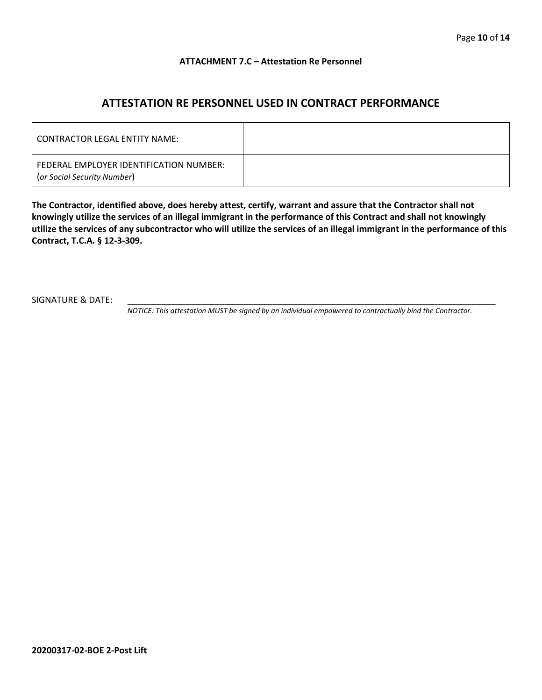#### **ATTACHMENT 7.C – Attestation Re Personnel**

## **ATTESTATION RE PERSONNEL USED IN CONTRACT PERFORMANCE**

| CONTRACTOR LEGAL ENTITY NAME:                                          |  |
|------------------------------------------------------------------------|--|
| FEDERAL EMPLOYER IDENTIFICATION NUMBER:<br>(or Social Security Number) |  |

**The Contractor, identified above, does hereby attest, certify, warrant and assure that the Contractor shall not knowingly utilize the services of an illegal immigrant in the performance of this Contract and shall not knowingly utilize the services of any subcontractor who will utilize the services of an illegal immigrant in the performance of this Contract, T.C.A. § 12-3-309.**

SIGNATURE & DATE:

*NOTICE: This attestation MUST be signed by an individual empowered to contractually bind the Contractor.*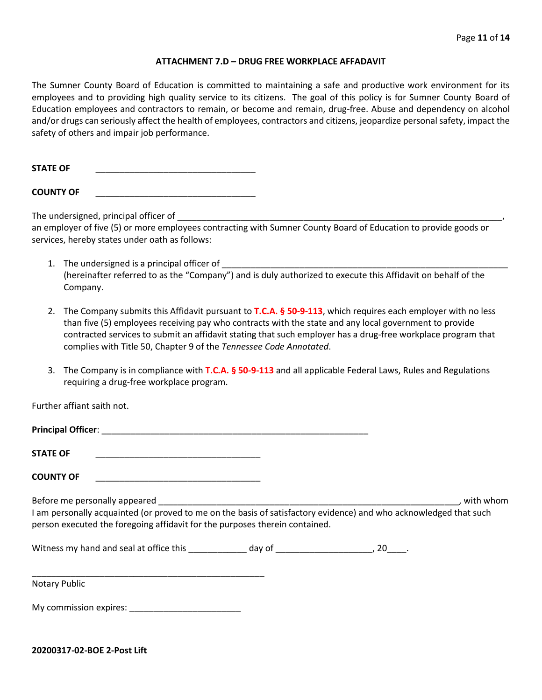#### **ATTACHMENT 7.D – DRUG FREE WORKPLACE AFFADAVIT**

The Sumner County Board of Education is committed to maintaining a safe and productive work environment for its employees and to providing high quality service to its citizens. The goal of this policy is for Sumner County Board of Education employees and contractors to remain, or become and remain, drug-free. Abuse and dependency on alcohol and/or drugs can seriously affect the health of employees, contractors and citizens, jeopardize personal safety, impact the safety of others and impair job performance.

STATE OF

**COUNTY OF** \_\_\_\_\_\_\_\_\_\_\_\_\_\_\_\_\_\_\_\_\_\_\_\_\_\_\_\_\_\_\_\_\_

The undersigned, principal officer of

an employer of five (5) or more employees contracting with Sumner County Board of Education to provide goods or services, hereby states under oath as follows:

- 1. The undersigned is a principal officer of (hereinafter referred to as the "Company") and is duly authorized to execute this Affidavit on behalf of the Company.
- 2. The Company submits this Affidavit pursuant to **T.C.A. § 50-9-113**, which requires each employer with no less than five (5) employees receiving pay who contracts with the state and any local government to provide contracted services to submit an affidavit stating that such employer has a drug-free workplace program that complies with Title 50, Chapter 9 of the *Tennessee Code Annotated*.
- 3. The Company is in compliance with **T.C.A. § 50-9-113** and all applicable Federal Laws, Rules and Regulations requiring a drug-free workplace program.

Further affiant saith not.

| <b>Principal Officer:</b> |  |
|---------------------------|--|
|                           |  |
| <b>STATE OF</b>           |  |

**COUNTY OF** \_\_\_\_\_\_\_\_\_\_\_\_\_\_\_\_\_\_\_\_\_\_\_\_\_\_\_\_\_\_\_\_\_\_

Before me personally appeared \_\_\_\_\_\_\_\_\_\_\_\_\_\_\_\_\_\_\_\_\_\_\_\_\_\_\_\_\_\_\_\_\_\_\_\_\_\_\_\_\_\_\_\_\_\_\_\_\_\_\_\_\_\_\_\_\_\_\_\_\_\_, with whom I am personally acquainted (or proved to me on the basis of satisfactory evidence) and who acknowledged that such person executed the foregoing affidavit for the purposes therein contained.

Witness my hand and seal at office this \_\_\_\_\_\_\_\_\_\_\_\_ day of \_\_\_\_\_\_\_\_\_\_\_\_\_\_\_\_\_\_\_\_\_, 20\_\_\_\_.

\_\_\_\_\_\_\_\_\_\_\_\_\_\_\_\_\_\_\_\_\_\_\_\_\_\_\_\_\_\_\_\_\_\_\_\_\_\_\_\_\_\_\_\_\_\_\_\_ Notary Public

My commission expires: **Example 20** 

**20200317-02-BOE 2-Post Lift**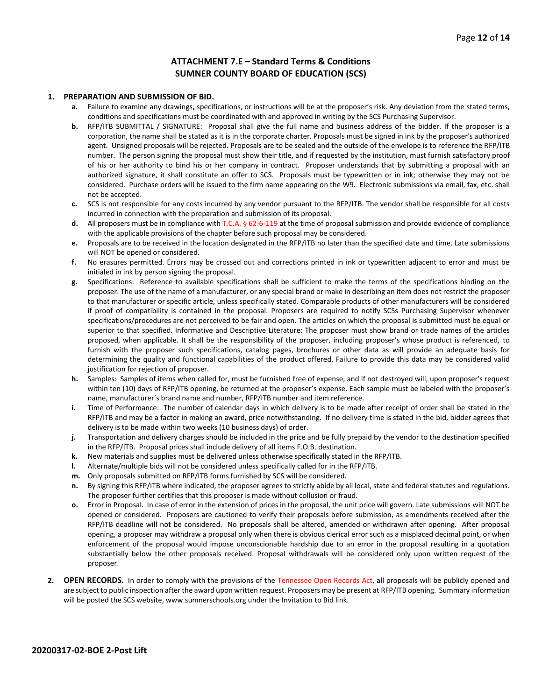#### **ATTACHMENT 7.E – Standard Terms & Conditions SUMNER COUNTY BOARD OF EDUCATION (SCS)**

#### **1. PREPARATION AND SUBMISSION OF BID.**

- **a.** Failure to examine any drawings**,** specifications, or instructions will be at the proposer's risk. Any deviation from the stated terms, conditions and specifications must be coordinated with and approved in writing by the SCS Purchasing Supervisor.
- **b.** RFP/ITB SUBMITTAL / SIGNATURE: Proposal shall give the full name and business address of the bidder. If the proposer is a corporation, the name shall be stated as it is in the corporate charter. Proposals must be signed in ink by the proposer's authorized agent. Unsigned proposals will be rejected. Proposals are to be sealed and the outside of the envelope is to reference the RFP/ITB number. The person signing the proposal must show their title, and if requested by the institution, must furnish satisfactory proof of his or her authority to bind his or her company in contract. Proposer understands that by submitting a proposal with an authorized signature, it shall constitute an offer to SCS. Proposals must be typewritten or in ink; otherwise they may not be considered. Purchase orders will be issued to the firm name appearing on the W9. Electronic submissions via email, fax, etc. shall not be accepted.
- **c.** SCS is not responsible for any costs incurred by any vendor pursuant to the RFP/ITB. The vendor shall be responsible for all costs incurred in connection with the preparation and submission of its proposal.
- **d.** All proposers must be in compliance with T.C.A. § 62-6-119 at the time of proposal submission and provide evidence of compliance with the applicable provisions of the chapter before such proposal may be considered.
- **e.** Proposals are to be received in the location designated in the RFP/ITB no later than the specified date and time. Late submissions will NOT be opened or considered.
- **f.** No erasures permitted. Errors may be crossed out and corrections printed in ink or typewritten adjacent to error and must be initialed in ink by person signing the proposal.
- **g.** Specifications: Reference to available specifications shall be sufficient to make the terms of the specifications binding on the proposer. The use of the name of a manufacturer, or any special brand or make in describing an item does not restrict the proposer to that manufacturer or specific article, unless specifically stated. Comparable products of other manufacturers will be considered if proof of compatibility is contained in the proposal. Proposers are required to notify SCSs Purchasing Supervisor whenever specifications/procedures are not perceived to be fair and open. The articles on which the proposal is submitted must be equal or superior to that specified. Informative and Descriptive Literature: The proposer must show brand or trade names of the articles proposed, when applicable. It shall be the responsibility of the proposer, including proposer's whose product is referenced, to furnish with the proposer such specifications, catalog pages, brochures or other data as will provide an adequate basis for determining the quality and functional capabilities of the product offered. Failure to provide this data may be considered valid justification for rejection of proposer.
- **h.** Samples: Samples of items when called for, must be furnished free of expense, and if not destroyed will, upon proposer's request within ten (10) days of RFP/ITB opening, be returned at the proposer's expense. Each sample must be labeled with the proposer's name, manufacturer's brand name and number, RFP/ITB number and item reference.
- **i.** Time of Performance: The number of calendar days in which delivery is to be made after receipt of order shall be stated in the RFP/ITB and may be a factor in making an award, price notwithstanding. If no delivery time is stated in the bid, bidder agrees that delivery is to be made within two weeks (10 business days) of order.
- **j.** Transportation and delivery charges should be included in the price and be fully prepaid by the vendor to the destination specified in the RFP/ITB. Proposal prices shall include delivery of all items F.O.B. destination.
- **k.** New materials and supplies must be delivered unless otherwise specifically stated in the RFP/ITB.
- **l.** Alternate/multiple bids will not be considered unless specifically called for in the RFP/ITB.
- **m.** Only proposals submitted on RFP/ITB forms furnished by SCS will be considered.
- **n.** By signing this RFP/ITB where indicated, the proposer agrees to strictly abide by all local, state and federal statutes and regulations. The proposer further certifies that this proposer is made without collusion or fraud.
- **o.** Error in Proposal. In case of error in the extension of prices in the proposal, the unit price will govern. Late submissions will NOT be opened or considered. Proposers are cautioned to verify their proposals before submission, as amendments received after the RFP/ITB deadline will not be considered. No proposals shall be altered, amended or withdrawn after opening. After proposal opening, a proposer may withdraw a proposal only when there is obvious clerical error such as a misplaced decimal point, or when enforcement of the proposal would impose unconscionable hardship due to an error in the proposal resulting in a quotation substantially below the other proposals received. Proposal withdrawals will be considered only upon written request of the proposer.
- **2. OPEN RECORDS.** In order to comply with the provisions of the Tennessee Open Records Act, all proposals will be publicly opened and are subject to public inspection after the award upon written request. Proposers may be present at RFP/ITB opening. Summary information will be posted the SCS website, www.sumnerschools.org under the Invitation to Bid link.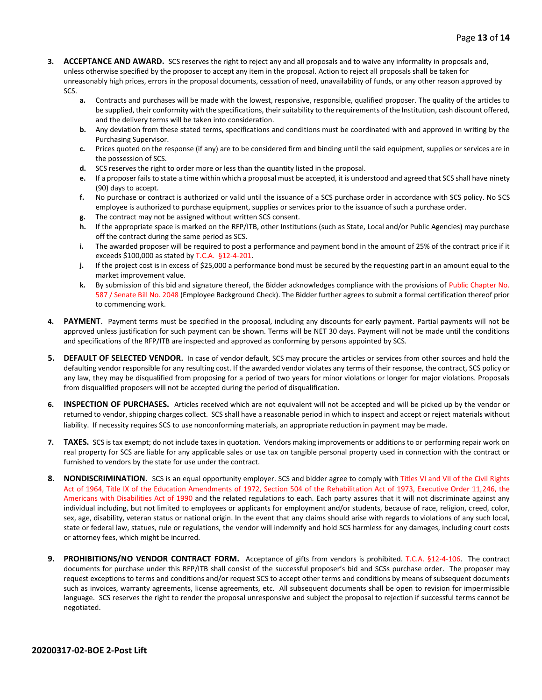- **3. ACCEPTANCE AND AWARD.** SCS reserves the right to reject any and all proposals and to waive any informality in proposals and, unless otherwise specified by the proposer to accept any item in the proposal. Action to reject all proposals shall be taken for unreasonably high prices, errors in the proposal documents, cessation of need, unavailability of funds, or any other reason approved by SCS.
	- **a.** Contracts and purchases will be made with the lowest, responsive, responsible, qualified proposer. The quality of the articles to be supplied, their conformity with the specifications, their suitability to the requirements of the Institution, cash discount offered, and the delivery terms will be taken into consideration.
	- **b.** Any deviation from these stated terms, specifications and conditions must be coordinated with and approved in writing by the Purchasing Supervisor.
	- **c.** Prices quoted on the response (if any) are to be considered firm and binding until the said equipment, supplies or services are in the possession of SCS.
	- **d.** SCS reserves the right to order more or less than the quantity listed in the proposal.
	- **e.** If a proposer fails to state a time within which a proposal must be accepted, it is understood and agreed that SCS shall have ninety (90) days to accept.
	- **f.** No purchase or contract is authorized or valid until the issuance of a SCS purchase order in accordance with SCS policy. No SCS employee is authorized to purchase equipment, supplies or services prior to the issuance of such a purchase order.
	- **g.** The contract may not be assigned without written SCS consent.
	- **h.** If the appropriate space is marked on the RFP/ITB, other Institutions (such as State, Local and/or Public Agencies) may purchase off the contract during the same period as SCS.
	- **i.** The awarded proposer will be required to post a performance and payment bond in the amount of 25% of the contract price if it exceeds \$100,000 as stated by T.C.A. §12-4-201.
	- **j.** If the project cost is in excess of \$25,000 a performance bond must be secured by the requesting part in an amount equal to the market improvement value.
	- **k.** By submission of this bid and signature thereof, the Bidder acknowledges compliance with the provisions of Public Chapter No. 587 / Senate Bill No. 2048 (Employee Background Check). The Bidder further agrees to submit a formal certification thereof prior to commencing work.
- **4. PAYMENT**. Payment terms must be specified in the proposal, including any discounts for early payment. Partial payments will not be approved unless justification for such payment can be shown. Terms will be NET 30 days. Payment will not be made until the conditions and specifications of the RFP/ITB are inspected and approved as conforming by persons appointed by SCS.
- **5. DEFAULT OF SELECTED VENDOR.** In case of vendor default, SCS may procure the articles or services from other sources and hold the defaulting vendor responsible for any resulting cost. If the awarded vendor violates any terms of their response, the contract, SCS policy or any law, they may be disqualified from proposing for a period of two years for minor violations or longer for major violations. Proposals from disqualified proposers will not be accepted during the period of disqualification.
- **6. INSPECTION OF PURCHASES.** Articles received which are not equivalent will not be accepted and will be picked up by the vendor or returned to vendor, shipping charges collect. SCS shall have a reasonable period in which to inspect and accept or reject materials without liability. If necessity requires SCS to use nonconforming materials, an appropriate reduction in payment may be made.
- **7. TAXES.** SCS is tax exempt; do not include taxes in quotation. Vendors making improvements or additions to or performing repair work on real property for SCS are liable for any applicable sales or use tax on tangible personal property used in connection with the contract or furnished to vendors by the state for use under the contract.
- **8. NONDISCRIMINATION.** SCS is an equal opportunity employer. SCS and bidder agree to comply with Titles VI and VII of the Civil Rights Act of 1964, Title IX of the Education Amendments of 1972, Section 504 of the Rehabilitation Act of 1973, Executive Order 11,246, the Americans with Disabilities Act of 1990 and the related regulations to each. Each party assures that it will not discriminate against any individual including, but not limited to employees or applicants for employment and/or students, because of race, religion, creed, color, sex, age, disability, veteran status or national origin. In the event that any claims should arise with regards to violations of any such local, state or federal law, statues, rule or regulations, the vendor will indemnify and hold SCS harmless for any damages, including court costs or attorney fees, which might be incurred.
- **9. PROHIBITIONS/NO VENDOR CONTRACT FORM.** Acceptance of gifts from vendors is prohibited. T.C.A. §12-4-106. The contract documents for purchase under this RFP/ITB shall consist of the successful proposer's bid and SCSs purchase order. The proposer may request exceptions to terms and conditions and/or request SCS to accept other terms and conditions by means of subsequent documents such as invoices, warranty agreements, license agreements, etc. All subsequent documents shall be open to revision for impermissible language. SCS reserves the right to render the proposal unresponsive and subject the proposal to rejection if successful terms cannot be negotiated.